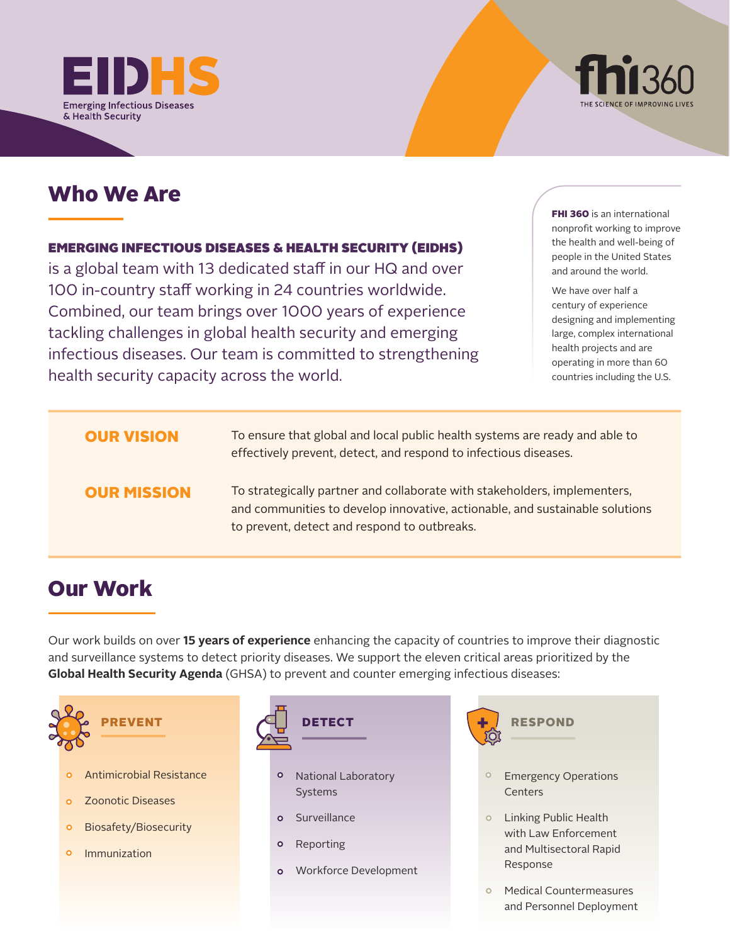



# Who We Are

### EMERGING INFECTIOUS DISEASES & HEALTH SECURITY (EIDHS)

is a global team with 13 dedicated staff in our HQ and over 100 in-country staff working in 24 countries worldwide. Combined, our team brings over 1000 years of experience tackling challenges in global health security and emerging infectious diseases. Our team is committed to strengthening health security capacity across the world.

**FHI 360** is an international nonprofit working to improve the health and well-being of people in the United States and around the world.

We have over half a century of experience designing and implementing large, complex international health projects and are operating in more than 60 countries including the U.S.

### OUR VISION

To ensure that global and local public health systems are ready and able to effectively prevent, detect, and respond to infectious diseases.

### OUR MISSION

To strategically partner and collaborate with stakeholders, implementers, and communities to develop innovative, actionable, and sustainable solutions to prevent, detect and respond to outbreaks.

# Our Work

Our work builds on over **15 years of experience** enhancing the capacity of countries to improve their diagnostic and surveillance systems to detect priority diseases. We support the eleven critical areas prioritized by the **Global Health Security Agenda** (GHSA) to prevent and counter emerging infectious diseases:



 $\circ$ Immunization



- $\circ$ Reporting
- Workforce Development  $\overline{O}$



- Emergency Operations Centers
- $\circ$ Linking Public Health with Law Enforcement and Multisectoral Rapid Response
- Medical Countermeasures  $\circ$ and Personnel Deployment